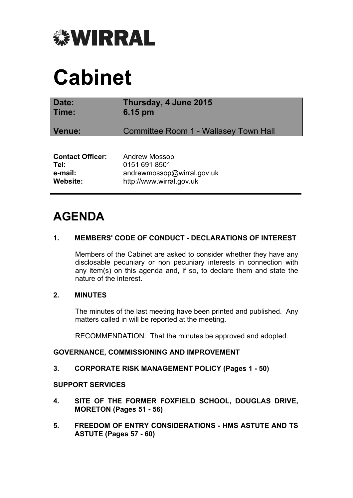

# **Cabinet**

| Date:<br>Time:          | Thursday, 4 June 2015<br>6.15 pm      |
|-------------------------|---------------------------------------|
| Venue:                  | Committee Room 1 - Wallasey Town Hall |
|                         |                                       |
| <b>Contact Officer:</b> | <b>Andrew Mossop</b>                  |
| Tel:                    | 0151 691 8501                         |
| e-mail:                 | andrewmossop@wirral.gov.uk            |
| <b>Website:</b>         | http://www.wirral.gov.uk              |

# **AGENDA**

# **1. MEMBERS' CODE OF CONDUCT - DECLARATIONS OF INTEREST**

Members of the Cabinet are asked to consider whether they have any disclosable pecuniary or non pecuniary interests in connection with any item(s) on this agenda and, if so, to declare them and state the nature of the interest.

#### **2. MINUTES**

The minutes of the last meeting have been printed and published. Any matters called in will be reported at the meeting.

RECOMMENDATION: That the minutes be approved and adopted.

#### **GOVERNANCE, COMMISSIONING AND IMPROVEMENT**

#### **3. CORPORATE RISK MANAGEMENT POLICY (Pages 1 - 50)**

#### **SUPPORT SERVICES**

- **4. SITE OF THE FORMER FOXFIELD SCHOOL, DOUGLAS DRIVE, MORETON (Pages 51 - 56)**
- **5. FREEDOM OF ENTRY CONSIDERATIONS - HMS ASTUTE AND TS ASTUTE (Pages 57 - 60)**